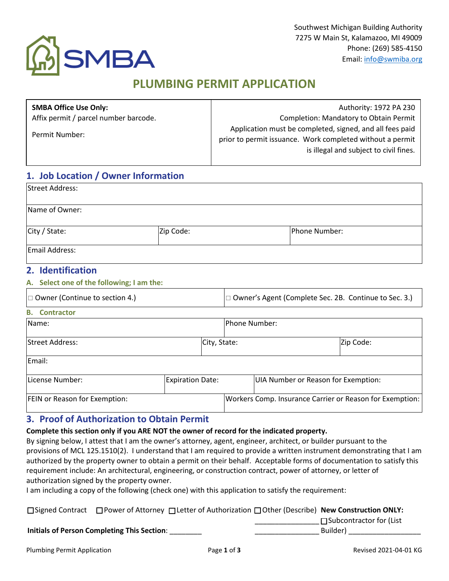

# **PLUMBING PERMIT APPLICATION**

| <b>SMBA Office Use Only:</b>          | Authority: 1972 PA 230                                                                                                                                          |
|---------------------------------------|-----------------------------------------------------------------------------------------------------------------------------------------------------------------|
| Affix permit / parcel number barcode. | Completion: Mandatory to Obtain Permit                                                                                                                          |
| Permit Number:                        | Application must be completed, signed, and all fees paid<br>prior to permit issuance. Work completed without a permit<br>is illegal and subject to civil fines. |

## **1. Job Location / Owner Information**

| <b>Street Address:</b> |           |               |  |  |  |
|------------------------|-----------|---------------|--|--|--|
| Name of Owner:         |           |               |  |  |  |
| City / State:          | Zip Code: | Phone Number: |  |  |  |
| Email Address:         |           |               |  |  |  |

### **2. Identification**

#### **A. Select one of the following; I am the:**

| $\Box$ Owner (Continue to section 4.) |                         |              | □ Owner's Agent (Complete Sec. 2B. Continue to Sec. 3.) |                                                          |           |
|---------------------------------------|-------------------------|--------------|---------------------------------------------------------|----------------------------------------------------------|-----------|
| <b>B.</b> Contractor                  |                         |              |                                                         |                                                          |           |
| Name:                                 |                         |              | <b>IPhone Number:</b>                                   |                                                          |           |
| <b>Street Address:</b>                |                         | City, State: |                                                         |                                                          | Zip Code: |
| Email:                                |                         |              |                                                         |                                                          |           |
| License Number:                       | <b>Expiration Date:</b> |              |                                                         | UIA Number or Reason for Exemption:                      |           |
| <b>FEIN or Reason for Exemption:</b>  |                         |              |                                                         | Workers Comp. Insurance Carrier or Reason for Exemption: |           |

### **3. Proof of Authorization to Obtain Permit**

**Initials of Person Completing This Section**: \_\_\_\_\_\_\_\_

**Complete this section only if you ARE NOT the owner of record for the indicated property.**

By signing below, I attest that I am the owner's attorney, agent, engineer, architect, or builder pursuant to the provisions of MCL 125.1510(2). I understand that I am required to provide a written instrument demonstrating that I am authorized by the property owner to obtain a permit on their behalf. Acceptable forms of documentation to satisfy this requirement include: An architectural, engineering, or construction contract, power of attorney, or letter of authorization signed by the property owner.

I am including a copy of the following (check one) with this application to satisfy the requirement:

|  |  |  |  | □Signed Contract □ Power of Attorney □ Letter of Authorization □ Other (Describe) New Construction ONLY: |
|--|--|--|--|----------------------------------------------------------------------------------------------------------|
|--|--|--|--|----------------------------------------------------------------------------------------------------------|

\_\_\_\_\_\_\_\_\_\_\_\_\_\_\_\_ □Subcontractor for (List

\_\_\_\_\_\_\_\_\_\_\_\_\_\_\_\_ Builder) **and the set of the set of the set of the set of the set of the set of the set of the set of the set o**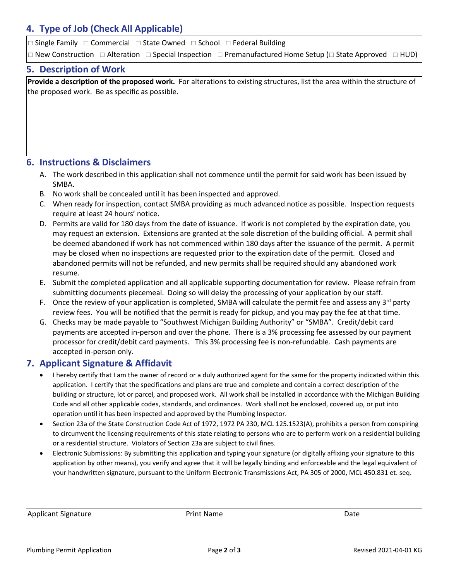### **4. Type of Job (Check All Applicable)**

 $\Box$  Single Family  $\Box$  Commercial  $\Box$  State Owned  $\Box$  School  $\Box$  Federal Building

 $\Box$  New Construction  $\Box$  Alteration  $\Box$  Special Inspection  $\Box$  Premanufactured Home Setup ( $\Box$  State Approved  $\Box$  HUD)

#### **5. Description of Work**

**Provide a description of the proposed work.** For alterations to existing structures, list the area within the structure of the proposed work. Be as specific as possible.

### **6. Instructions & Disclaimers**

- A. The work described in this application shall not commence until the permit for said work has been issued by SMBA.
- B. No work shall be concealed until it has been inspected and approved.
- C. When ready for inspection, contact SMBA providing as much advanced notice as possible. Inspection requests require at least 24 hours' notice.
- D. Permits are valid for 180 days from the date of issuance. If work is not completed by the expiration date, you may request an extension. Extensions are granted at the sole discretion of the building official. A permit shall be deemed abandoned if work has not commenced within 180 days after the issuance of the permit. A permit may be closed when no inspections are requested prior to the expiration date of the permit. Closed and abandoned permits will not be refunded, and new permits shall be required should any abandoned work resume.
- E. Submit the completed application and all applicable supporting documentation for review. Please refrain from submitting documents piecemeal. Doing so will delay the processing of your application by our staff.
- F. Once the review of your application is completed, SMBA will calculate the permit fee and assess any  $3^{rd}$  party review fees. You will be notified that the permit is ready for pickup, and you may pay the fee at that time.
- G. Checks may be made payable to "Southwest Michigan Building Authority" or "SMBA". Credit/debit card payments are accepted in-person and over the phone. There is a 3% processing fee assessed by our payment processor for credit/debit card payments. This 3% processing fee is non-refundable. Cash payments are accepted in-person only.

### **7. Applicant Signature & Affidavit**

- I hereby certify that I am the owner of record or a duly authorized agent for the same for the property indicated within this application. I certify that the specifications and plans are true and complete and contain a correct description of the building or structure, lot or parcel, and proposed work. All work shall be installed in accordance with the Michigan Building Code and all other applicable codes, standards, and ordinances. Work shall not be enclosed, covered up, or put into operation until it has been inspected and approved by the Plumbing Inspector.
- Section 23a of the State Construction Code Act of 1972, 1972 PA 230, MCL 125.1523(A), prohibits a person from conspiring to circumvent the licensing requirements of this state relating to persons who are to perform work on a residential building or a residential structure. Violators of Section 23a are subject to civil fines.
- Electronic Submissions: By submitting this application and typing your signature (or digitally affixing your signature to this application by other means), you verify and agree that it will be legally binding and enforceable and the legal equivalent of your handwritten signature, pursuant to the Uniform Electronic Transmissions Act, PA 305 of 2000, MCL 450.831 et. seq.

Applicant Signature **Print Name** Print Name **Date** Date